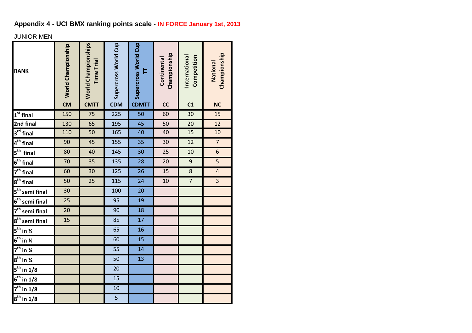# **Appendix 4 - UCI BMX ranking points scale - IN FORCE January 1st, 2013**

## JUNIOR MEN

| <b>RANK</b>                                     | <b>S</b> World Championship | <b>World Championships</b><br><b>Time Trial</b><br><b>CMTT</b> | Supercross World Cup<br><b>CDM</b> | Supercross World Cup<br>Þ<br><b>CDMTT</b> | Championship<br>Continental<br>cc | International<br>Competition<br>C <sub>1</sub> | Championship<br>National<br><b>NC</b> |
|-------------------------------------------------|-----------------------------|----------------------------------------------------------------|------------------------------------|-------------------------------------------|-----------------------------------|------------------------------------------------|---------------------------------------|
| $1st$ final                                     | 150                         | $\overline{75}$                                                | 225                                | 50                                        | 60                                | 30                                             | 15                                    |
| 2nd final                                       | 130                         | 65                                                             | 195                                | 45                                        | 50                                | 20                                             | 12                                    |
| $3^{rd}$ final                                  | 110                         | 50                                                             | 165                                | 40                                        | 40                                | 15                                             | 10                                    |
| 4 <sup>th</sup> final                           | 90                          | 45                                                             | 155                                | 35                                        | 30                                | 12                                             | $\overline{7}$                        |
| $5th$ final                                     | 80                          | 40                                                             | 145                                | 30                                        | 25                                | 10                                             | $\overline{6}$                        |
| $6th$ final                                     | 70                          | 35                                                             | 135                                | 28                                        | 20                                | $\boldsymbol{9}$                               | 5                                     |
| $7th$ final                                     | 60                          | 30                                                             | 125                                | 26                                        | 15                                | 8                                              | $\pmb{4}$                             |
| $8th$ final                                     | 50                          | 25                                                             | 115                                | 24                                        | 10                                | $\overline{7}$                                 | 3                                     |
| $5th$ semi final                                | 30                          |                                                                | 100                                | 20                                        |                                   |                                                |                                       |
| 6 <sup>th</sup> semi final                      | 25                          |                                                                | 95                                 | 19                                        |                                   |                                                |                                       |
| $7th$ semi final                                | 20                          |                                                                | 90                                 | 18                                        |                                   |                                                |                                       |
| $8th$ semi final                                | $\overline{15}$             |                                                                | 85                                 | 17                                        |                                   |                                                |                                       |
| $\overline{5}^{\text{th}}$ in $\overline{4}$    |                             |                                                                | $\overline{65}$                    | 16                                        |                                   |                                                |                                       |
| $\overline{6^{th}}$ in $\overline{\mathcal{U}}$ |                             |                                                                | 60                                 | 15                                        |                                   |                                                |                                       |
| $\overline{7^{th}}$ in $\overline{4}$           |                             |                                                                | 55                                 | 14                                        |                                   |                                                |                                       |
| $8^{\text{th}}$ in $\frac{1}{4}$                |                             |                                                                | 50                                 | 13                                        |                                   |                                                |                                       |
| $5^{\text{th}}$ in 1/8                          |                             |                                                                | 20                                 |                                           |                                   |                                                |                                       |
| $6^{\text{th}}$ in $1/8$                        |                             |                                                                | 15                                 |                                           |                                   |                                                |                                       |
| $\overline{7}^{\text{th}}$ in 1/8               |                             |                                                                | 10                                 |                                           |                                   |                                                |                                       |
| $8^{\text{th}}$ in $1/8$                        |                             |                                                                | $\overline{5}$                     |                                           |                                   |                                                |                                       |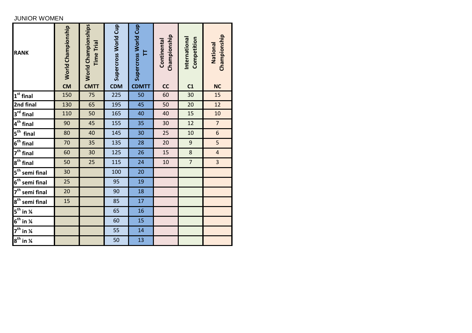### JUNIOR WOMEN

| <b>RANK</b>                      | <b>S</b> World Championship | World Championships<br><b>Time Trial</b><br><b>CMTT</b> | Supercross World Cup<br><b>CDM</b> | Supercross World Cup<br>Ξ<br><b>CDMTT</b> | Championship<br>Continental<br>cc | International<br>Competition<br>C <sub>1</sub> | Championship<br>National<br><b>NC</b> |
|----------------------------------|-----------------------------|---------------------------------------------------------|------------------------------------|-------------------------------------------|-----------------------------------|------------------------------------------------|---------------------------------------|
| $1st$ final                      | 150                         | 75                                                      | 225                                | 50                                        | 60                                | 30                                             | 15                                    |
| 2nd final                        | 130                         | 65                                                      | 195                                | 45                                        | 50                                | 20                                             | 12                                    |
| 3 <sup>rd</sup> final            | 110                         | 50                                                      | 165                                | 40                                        | 40                                | 15                                             | 10                                    |
| $4th$ final                      | 90                          | 45                                                      | 155                                | 35                                        | 30                                | 12                                             | $\overline{7}$                        |
| $5th$ final                      | 80                          | 40                                                      | 145                                | 30                                        | 25                                | 10                                             | $\boldsymbol{6}$                      |
| $6th$ final                      | 70                          | 35                                                      | 135                                | 28                                        | 20                                | 9                                              | $\overline{\mathbf{5}}$               |
| $\overline{7}^{\text{th}}$ final | 60                          | 30                                                      | 125                                | 26                                        | 15                                | $\bf 8$                                        | $\overline{a}$                        |
| $8th$ final                      | 50                          | 25                                                      | 115                                | 24                                        | 10                                | $\overline{7}$                                 | $\overline{\mathbf{3}}$               |
| 5 <sup>th</sup> semi final       | 30                          |                                                         | 100                                | 20                                        |                                   |                                                |                                       |
| 6 <sup>th</sup> semi final       | 25                          |                                                         | 95                                 | 19                                        |                                   |                                                |                                       |
| 7 <sup>th</sup> semi final       | 20                          |                                                         | 90                                 | 18                                        |                                   |                                                |                                       |
| $8th$ semi final                 | 15                          |                                                         | 85                                 | 17                                        |                                   |                                                |                                       |
| $5^{\text{th}}$ in $\frac{1}{4}$ |                             |                                                         | 65                                 | 16                                        |                                   |                                                |                                       |
| $6th$ in $\frac{1}{4}$           |                             |                                                         | 60                                 | 15                                        |                                   |                                                |                                       |
| $7^{\text{th}}$ in $\frac{1}{4}$ |                             |                                                         | 55                                 | 14                                        |                                   |                                                |                                       |
| $8^{\text{th}}$ in $\frac{1}{4}$ |                             |                                                         | 50                                 | 13                                        |                                   |                                                |                                       |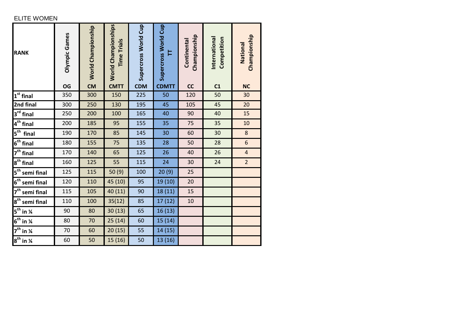### ELITE WOMEN

| <b>RANK</b>                             | Olympic Games<br>OG | World Championship<br><b>CM</b> | World Championships<br><b>Time Trials</b><br><b>CMTT</b> | Supercross World Cup<br><b>CDM</b> | Supercross World Cup<br>⊨<br><b>CDMTT</b> | Championship<br>Continental<br>cc | International<br>Competition<br>C <sub>1</sub> | Championship<br>National<br><b>NC</b> |
|-----------------------------------------|---------------------|---------------------------------|----------------------------------------------------------|------------------------------------|-------------------------------------------|-----------------------------------|------------------------------------------------|---------------------------------------|
| $1st$ final                             | 350                 | 300                             | 150                                                      | 225                                | 50                                        | 120                               | 50                                             | 30                                    |
| 2nd final                               | 300                 | 250                             | 130                                                      | 195                                | 45                                        | 105                               | 45                                             | 20                                    |
| $3^{rd}$ final                          | 250                 | 200                             | 100                                                      | 165                                | 40                                        | 90                                | 40                                             | 15                                    |
| 4 <sup>th</sup> final                   | 200                 | 185                             | 95                                                       | 155                                | 35                                        | 75                                | 35                                             | 10                                    |
| $5^{\text{th}}$<br>final                | 190                 | 170                             | 85                                                       | 145                                | 30                                        | 60                                | 30                                             | $\bf 8$                               |
| $6th$ final                             | 180                 | 155                             | 75                                                       | 135                                | 28                                        | 50                                | 28                                             | $\boldsymbol{6}$                      |
| 7 <sup>th</sup> final                   | 170                 | 140                             | 65                                                       | 125                                | 26                                        | 40                                | 26                                             | $\overline{4}$                        |
| $8th$ final                             | 160                 | 125                             | 55                                                       | 115                                | 24                                        | 30                                | 24                                             | $\overline{2}$                        |
| $5^{\text{th}}$<br>semi final           | 125                 | 115                             | 50 (9)                                                   | 100                                | 20(9)                                     | 25                                |                                                |                                       |
| $6th$ semi final                        | 120                 | 110                             | 45 (10)                                                  | 95                                 | 19 (10)                                   | 20                                |                                                |                                       |
| 7 <sup>th</sup> semi final              | 115                 | 105                             | 40 (11)                                                  | 90                                 | 18 (11)                                   | 15                                |                                                |                                       |
| $8th$ semi final                        | 110                 | 100                             | 35(12)                                                   | 85                                 | 17 (12)                                   | 10                                |                                                |                                       |
| $5^{\text{th}}$ in $\frac{1}{4}$        | 90                  | 80                              | 30(13)                                                   | 65                                 | 16 (13)                                   |                                   |                                                |                                       |
| $6^{th}$ in $\frac{1}{4}$               | 80                  | 70                              | 25(14)                                                   | 60                                 | 15 (14)                                   |                                   |                                                |                                       |
| $\overline{7^{th}}$ in $\overline{1/4}$ | 70                  | 60                              | 20(15)                                                   | 55                                 | 14 (15)                                   |                                   |                                                |                                       |
| $8^{\text{th}}$ in $\frac{1}{4}$        | 60                  | 50                              | 15 (16)                                                  | 50                                 | 13 (16)                                   |                                   |                                                |                                       |